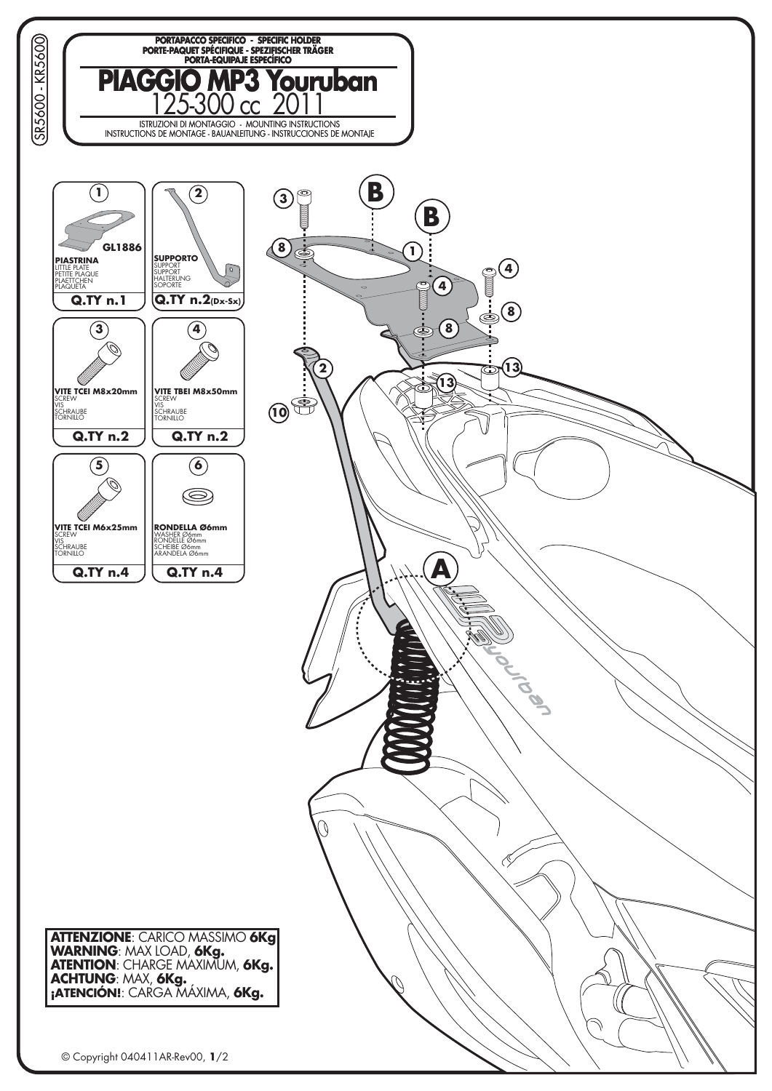